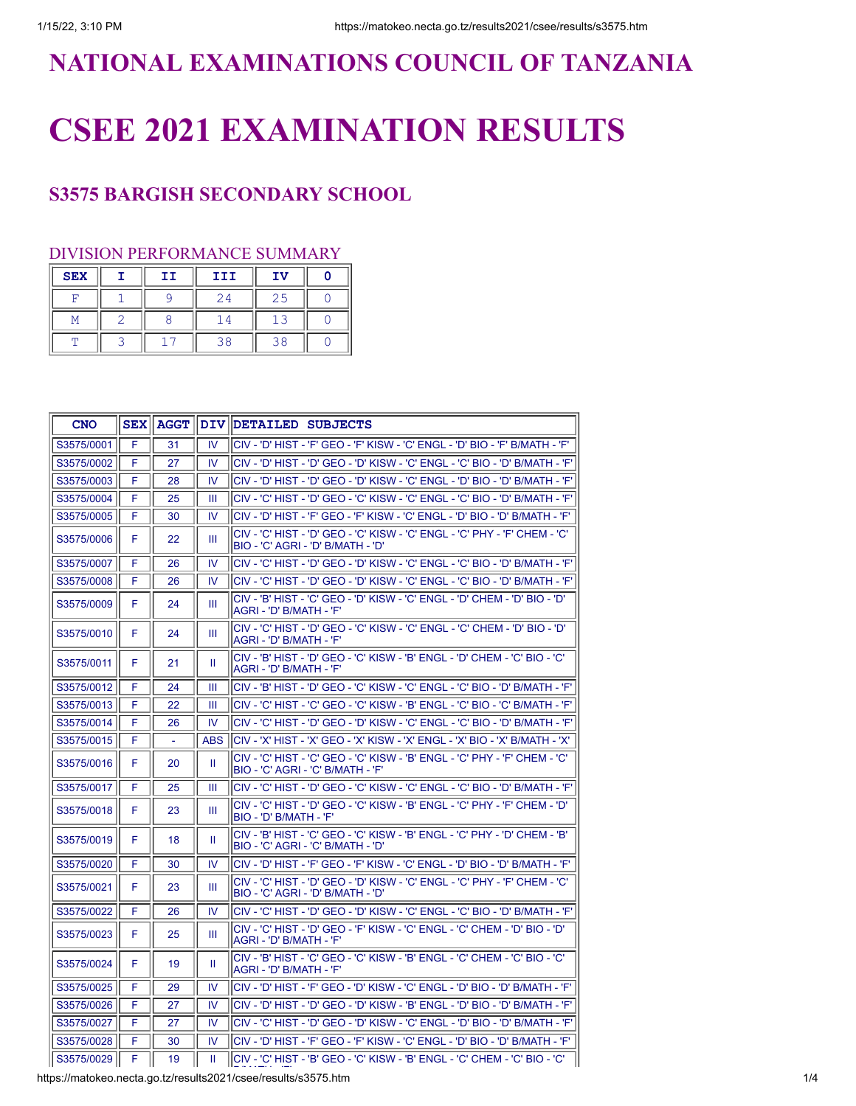## **NATIONAL EXAMINATIONS COUNCIL OF TANZANIA**

## **CSEE 2021 EXAMINATION RESULTS**

## **S3575 BARGISH SECONDARY SCHOOL**

## DIVISION PERFORMANCE SUMMARY

| <b>SEX</b> | II | III | IV |  |
|------------|----|-----|----|--|
|            |    | 24  |    |  |
|            |    |     |    |  |
|            |    | 38  | 38 |  |

| <b>CNO</b> | <b>SEX</b> | AGGT |            | DIV DETAILED SUBJECTS                                                                                             |
|------------|------------|------|------------|-------------------------------------------------------------------------------------------------------------------|
| S3575/0001 | F          | 31   | IV         | 'D' HIST - 'F' GEO - 'F' KISW - 'C' ENGL - 'D' BIO - 'F' B/MATH - 'F                                              |
| S3575/0002 | F          | 27   | IV         | 'C' LINGL - 'D' HIST - 'D' GEO - 'D' KISW - 'C' ENGL - 'C' BIO - 'D' B/MATH - 'F'                                 |
| S3575/0003 | F          | 28   | IV         | <sup>ו</sup> ס' - HIST - 'D' GEO - 'D' KISW - 'C' ENGL - 'D' BIO - 'D' B/MATH - 'F'                               |
| S3575/0004 | F          | 25   | Ш          | CIV - 'C' HIST - 'D' GEO - 'C' KISW - 'C' ENGL - 'C' BIO - 'D' B/MATH - 'F'                                       |
| S3575/0005 | F          | 30   | IV         | CIV - 'D' HIST - 'F' GEO - 'F' KISW - 'C' ENGL - 'D' BIO - 'D' B/MATH - 'F'                                       |
| S3575/0006 | F          | 22   | Ш          | CIV - 'C' HIST - 'D' GEO - 'C' KISW - 'C' ENGL - 'C' PHY - 'F' CHEM - 'C'<br>'D' BIO - 'C' AGRI - 'D' B/MATH - 'D |
| S3575/0007 | F          | 26   | IV         | <sup>I</sup> CIV - 'C' HIST - 'D' GEO - 'D' KISW - 'C' ENGL - 'C' BIO - 'D' B/MATH - 'F'                          |
| S3575/0008 | F          | 26   | IV         | 'CIV - 'C' HIST - 'D' GEO - 'D' KISW - 'C' ENGL - 'C' BIO - 'D' B/MATH - 'F                                       |
| S3575/0009 | F          | 24   | Ш          | 'ס' - B' HIST - 'C' GEO - 'D' KISW - 'C' ENGL - 'D' CHEM - 'D' BIO - 'D'<br>AGRI - 'D' B/MATH - 'F'               |
| S3575/0010 | F          | 24   | Ш          | CIV - 'C' HIST - 'D' GEO - 'C' KISW - 'C' ENGL - 'C' CHEM - 'D' BIO - 'D'<br>AGRI - 'D' B/MATH - 'F'              |
| S3575/0011 | F          | 21   | Ш          | 'CIV - 'B' HIST - 'D' GEO - 'C' KISW - 'B' ENGL - 'D' CHEM - 'C' BIO - 'C'<br>IAGRI - 'D' B/MATH - 'F'            |
| S3575/0012 | F          | 24   | Ш          | <sup> </sup> CIV - 'B' HIST - 'D' GEO - 'C' KISW - 'C' ENGL - 'C' BIO - 'D' B/MATH - 'F'                          |
| S3575/0013 | F          | 22   | Ш          | <sup> </sup> CIV - 'C' HIST - 'C' GEO - 'C' KISW - 'B' ENGL - 'C' BIO - 'C' B/MATH - 'F'                          |
| S3575/0014 | F          | 26   | IV         | <sup> </sup> CIV - 'C' HIST - 'D' GEO - 'D' KISW - 'C' ENGL - 'C' BIO - 'D' B/MATH - 'F'                          |
| S3575/0015 | F          |      | <b>ABS</b> | CIV - 'X' HIST - 'X' GEO - 'X' KISW - 'X' ENGL - 'X' BIO - 'X' B/MATH - 'X'                                       |
| S3575/0016 | F          | 20   | Ш          | ICIV - 'C' HIST - 'C' GEO - 'C' KISW - 'B' ENGL - 'C' PHY - 'F' CHEM - 'C'<br>BIO - 'C' AGRI - 'C' B/MATH - 'F'   |
| S3575/0017 | F          | 25   | Ш          | 'CIV - 'C' HIST - 'D' GEO - 'C' KISW - 'C' ENGL - 'C' BIO - 'D' B/MATH - 'F                                       |
| S3575/0018 | F          | 23   | Ш          | 'CIV - 'C' HIST - 'D' GEO - 'C' KISW - 'B' ENGL - 'C' PHY - 'F' CHEM - 'D<br>BIO - 'D' B/MATH - 'F'               |
| S3575/0019 | F          | 18   | Ш          | CIV - 'B' HIST - 'C' GEO - 'C' KISW - 'B' ENGL - 'C' PHY - 'D' CHEM - 'B'<br>BIO - 'C' AGRI - 'C' B/MATH - 'D'    |
| S3575/0020 | F          | 30   | IV         | <sup>I</sup> CIV - 'D' HIST - 'F' GEO - 'F' KISW - 'C' ENGL - 'D' BIO - 'D' B/MATH - 'F'                          |
| S3575/0021 | F          | 23   | Ш          | 'CIV - 'C' HIST - 'D' GEO - 'D' KISW - 'C' ENGL - 'C' PHY - 'F' CHEM - 'C'<br>BIO - 'C' AGRI - 'D' B/MATH - 'D'   |
| S3575/0022 | F          | 26   | IV         | 'CIV - 'C' HIST - 'D' GEO - 'D' KISW - 'C' ENGL - 'C' BIO - 'D' B/MATH - 'F                                       |
| S3575/0023 | F          | 25   | Ш          | CIV - 'C' HIST - 'D' GEO - 'F' KISW - 'C' ENGL - 'C' CHEM - 'D' BIO - 'D'<br>AGRI - 'D' B/MATH - 'F'              |
| S3575/0024 | F          | 19   | Ш          | 'CIV - 'B' HIST - 'C' GEO - 'C' KISW - 'B' ENGL - 'C' CHEM - 'C' BIO - 'C'<br>IAGRI - 'D' B/MATH - 'F'            |
| S3575/0025 | F          | 29   | IV         | lCIV - 'D' HIST - 'F' GEO - 'D' KISW - 'C' ENGL - 'D' BIO - 'D' В/МАТН - 'F'                                      |
| S3575/0026 | F          | 27   | IV         | 'BIV - 'D' HIST - 'D' GEO - 'D' KISW - 'B' ENGL - 'D' BIO - 'D' B/MATH - 'F                                       |
| S3575/0027 | F          | 27   | IV         | <sup>I</sup> CIV - 'C' HIST - 'D' GEO - 'D' KISW - 'C' ENGL - 'D' BIO - 'D' B/MATH - 'F'                          |
| S3575/0028 | F          | 30   | IV         | 'CIV - 'D' HIST - 'F' GEO - 'F' KISW - 'C' ENGL - 'D' BIO - 'D' B/MATH - 'F                                       |
| S3575/0029 | F          | 19   | Ш          | lCIV - 'C' HIST - 'B' GEO - 'C' KISW - 'B' ENGL - 'C' CHEM - 'C' BIO - 'C'                                        |

https://matokeo.necta.go.tz/results2021/csee/results/s3575.htm 1/4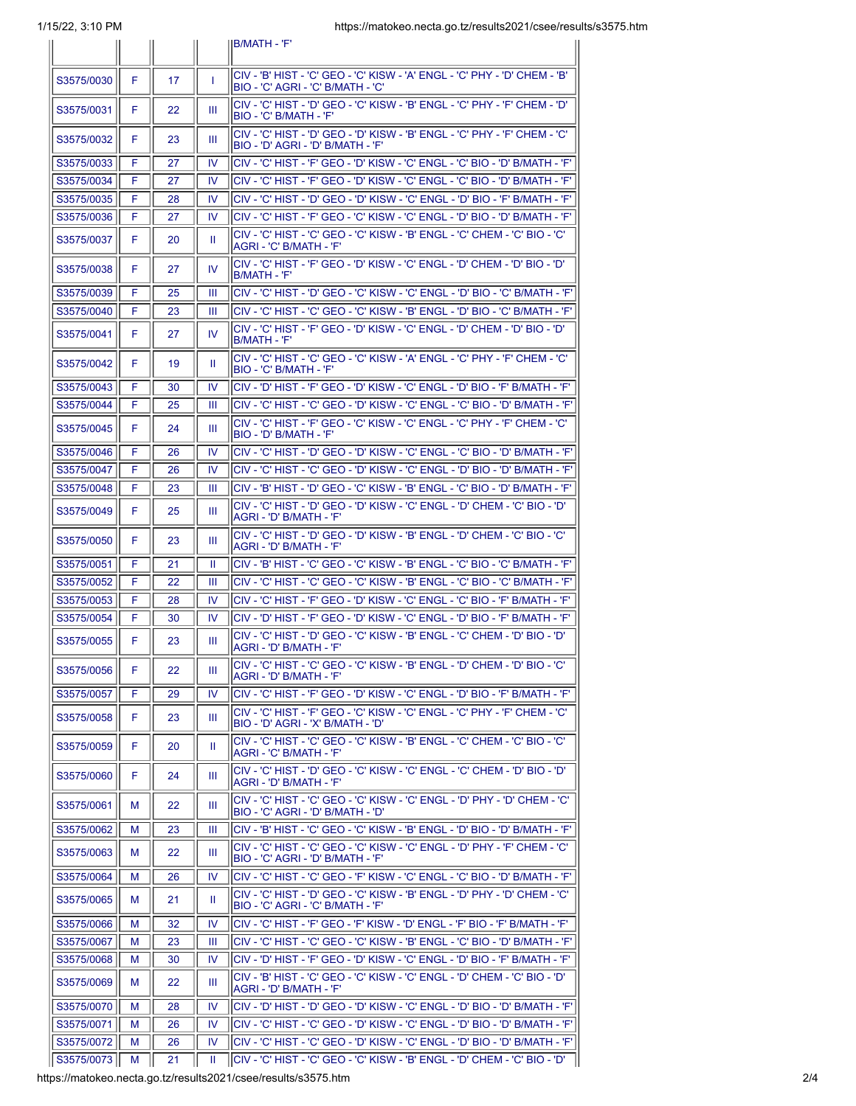|            |    |    |              | IB/MATH - 'F'                                                                                                               |
|------------|----|----|--------------|-----------------------------------------------------------------------------------------------------------------------------|
|            |    |    |              | <sup>I</sup> CIV - 'B' HIST - 'C' GEO - 'C' KISW - 'A' ENGL - 'C' PHY - 'D' CHEM - 'B'                                      |
| S3575/0030 | F  | 17 | $\mathbf{I}$ | IBIO - 'C' AGRI - 'C' B/MATH - 'C'<br>lCIV - 'C' HIST - 'D' GEO - 'C' KISW - 'B' ENGL - 'C' PHY - 'F' CHEM - 'D'            |
| S3575/0031 | F  | 22 | Ш            | IBIO - 'C' B/MATH - 'F'                                                                                                     |
| S3575/0032 | F  | 23 | Ш            | CIV - 'C' HIST - 'D' GEO - 'D' KISW - 'B' ENGL - 'C' PHY - 'F' CHEM - 'C'<br>IBIO - 'D' AGRI - 'D' B/MATH - 'F'             |
| S3575/0033 | F  | 27 | <b>IV</b>    | ICIV - 'C' HIST - 'F' GEO - 'D' KISW - 'C' ENGL - 'C' BIO - 'D' B/MATH - 'F'                                                |
| S3575/0034 | F  | 27 | IV           | lCIV - 'С' HIST - 'F' GEO - 'D' KISW - 'С' ENGL - 'С' ВІО - 'D' В/МАТН - 'F'                                                |
| S3575/0035 | F  | 28 | IV           | lCIV - 'C' HIST - 'D' GEO - 'D' KISW - 'C' ENGL - 'D' BIO - 'F' B/MATH - 'F'                                                |
| S3575/0036 | F  | 27 | IV           | <sup> </sup> CIV - 'C' HIST - 'F' GEO - 'C' KISW - 'C' ENGL - 'D' BIO - 'D' B/MATH - 'F'                                    |
| S3575/0037 | F  | 20 | Ш            | CIV - 'C' HIST - 'C' GEO - 'C' KISW - 'B' ENGL - 'C' CHEM - 'C' BIO - 'C'<br> AGRI - 'C' B/MATH - 'F'                       |
| S3575/0038 | F  | 27 | IV           | lCIV - 'C' HIST - 'F' GEO - 'D' KISW - 'C' ENGL - 'D' CHEM - 'D' BIO - 'D'<br>IB/MATH - 'F'                                 |
| S3575/0039 | F  | 25 | Ш            | ICIV - 'C' HIST - 'D' GEO - 'C' KISW - 'C' ENGL - 'D' BIO - 'C' B/MATH - 'F'                                                |
| S3575/0040 | F  | 23 | Ш            | CIV - 'C' HIST - 'C' GEO - 'C' KISW - 'B' ENGL - 'D' BIO - 'C' B/MATH - 'F'                                                 |
| S3575/0041 | F  | 27 | <b>IV</b>    | 'ס' - O' HIST - 'F' GEO - 'D' KISW - 'C' ENGL - 'D' CHEM - 'D' BIO - 'D'<br>IB/MATH - 'F'                                   |
| S3575/0042 | F  | 19 | Ш            | CIV - 'C' HIST - 'C' GEO - 'C' KISW - 'A' ENGL - 'C' PHY - 'F' CHEM - 'C'<br>IBIO - 'C' B/MATH - 'F'                        |
| S3575/0043 | F  | 30 | IV           | <sup>I</sup> CIV - 'D' HIST - 'F' GEO - 'D' KISW - 'C' ENGL - 'D' BIO - 'F' B/MATH - 'F'                                    |
| S3575/0044 | F  | 25 | Ш            | CIV - 'C' HIST - 'C' GEO - 'D' KISW - 'C' ENGL - 'C' BIO - 'D' B/MATH - 'F'                                                 |
| S3575/0045 | F  | 24 | Ш            | lCIV - 'C' HIST - 'F' GEO - 'C' KISW - 'C' ENGL - 'C' PHY - 'F' CHEM - 'C'<br>IBIO - 'D' B/MATH - 'F'                       |
| S3575/0046 | F  | 26 | 1V           | ICIV - 'C' HIST - 'D' GEO - 'D' KISW - 'C' ENGL - 'C' BIO - 'D' B/MATH - 'F'                                                |
| S3575/0047 | F  | 26 | IV           | 'CIV - 'C' HIST - 'C' GEO - 'D' KISW - 'C' ENGL - 'D' BIO - 'D' B/MATH - 'F                                                 |
| S3575/0048 | F  | 23 | Ш            | CIV - 'B' HIST - 'D' GEO - 'C' KISW - 'B' ENGL - 'C' BIO - 'D' B/MATH - 'F'                                                 |
| S3575/0049 | F  | 25 | Ш            | lCIV - 'C' HIST - 'D' GEO - 'D' KISW - 'C' ENGL - 'D' CHEM - 'C' BIO - 'D'<br>AGRI - 'D' B/MATH - 'F'                       |
| S3575/0050 | F  | 23 | Ш            | 'CIV - 'C' HIST - 'D' GEO - 'D' KISW - 'B' ENGL - 'D' CHEM - 'C' BIO - 'C<br> AGRI - 'D' B/MATH - 'F'                       |
| S3575/0051 | F  | 21 | Ш            | lCIV - 'B' HIST - 'C' GEO - 'C' KISW - 'B' ENGL - 'C' BIO - 'C' B/MATH - 'F'                                                |
| S3575/0052 | F  | 22 | Ш            | CIV - 'C' HIST - 'C' GEO - 'C' KISW - 'B' ENGL - 'C' BIO - 'C' B/MATH - 'F'                                                 |
| S3575/0053 | F  | 28 | IV           | lCIV - 'С' HIST - 'F' GEO - 'D' KISW - 'С' ENGL - 'С' BIO - 'F' В/МАТН - 'F'                                                |
| S3575/0054 | F  | 30 | IV           | CIV - 'D' HIST - 'F' GEO - 'D' KISW - 'C' ENGL - 'D' BIO - 'F' B/MATH - 'F'                                                 |
| S3575/0055 | F  | 23 | Ш            | 'ס' - ס' HIST - 'D' GEO - 'C' KISW - 'B' ENGL - 'C' CHEM - 'D' BIO - 'D<br>IAGRI - 'D' B/MATH - 'F'                         |
| S3575/0056 | F. | 22 | Ш            | CIV - 'C' HIST - 'C' GEO - 'C' KISW - 'B' ENGL - 'D' CHEM - 'D' BIO - 'C'<br> AGRI - 'D' B/MATH - 'F'                       |
| S3575/0057 | F  | 29 | IV           | ICIV - 'C' HIST - 'F' GEO - 'D' KISW - 'C' ENGL - 'D' BIO - 'F' B/MATH - 'F'                                                |
| S3575/0058 | F  | 23 | Ш            | CIV - 'C' HIST - 'F' GEO - 'C' KISW - 'C' ENGL - 'C' PHY - 'F' CHEM - 'C'<br>IBIO - 'D' AGRI - 'X' B/MATH - 'D'             |
| S3575/0059 | F  | 20 | Ш            | CIV - 'C' HIST - 'C' GEO - 'C' KISW - 'B' ENGL - 'C' CHEM - 'C' BIO - 'C'<br>AGRI - 'C' B/MATH - 'F'                        |
| S3575/0060 | F  | 24 | Ш            | lCIV - 'C' HIST - 'D' GEO - 'C' KISW - 'C' ENGL - 'C' CHEM - 'D' BIO - 'D'<br> AGRI - 'D' B/MATH - 'F'                      |
| S3575/0061 | м  | 22 | Ш            | CIV - 'C' HIST - 'C' GEO - 'C' KISW - 'C' ENGL - 'D' PHY - 'D' CHEM - 'C'<br>IBIO - 'C' AGRI - 'D' B/MATH - 'D'             |
| S3575/0062 | М  | 23 | Ш            | ICIV - 'B' HIST - 'C' GEO - 'C' KISW - 'B' ENGL - 'D' BIO - 'D' B/MATH - 'F'                                                |
| S3575/0063 | м  | 22 | Ш            | ICIV - 'C' HIST - 'C' GEO - 'C' KISW - 'C' ENGL - 'D' PHY - 'F' CHEM - 'C'<br>BIO - 'C' AGRI - 'D' B/MATH - 'F'             |
| S3575/0064 | М  | 26 | IV           | CIV - 'C' HIST - 'C' GEO - 'F' KISW - 'C' ENGL - 'C' BIO - 'D' B/MATH - 'F'                                                 |
| S3575/0065 | м  | 21 | Ш            | <sup> </sup> CIV - 'C' HIST - 'D' GEO - 'C' KISW - 'B' ENGL - 'D' PHY - 'D' CHEM - 'C'<br>BIO - 'C' AGRI - 'C' B/MATH - 'F' |
| S3575/0066 | M  | 32 | IV           | ICIV - 'C' HIST - 'F' GEO - 'F' KISW - 'D' ENGL - 'F' BIO - 'F' B/MATH - 'F'                                                |
| S3575/0067 | М  | 23 | Ш            | <sup> </sup> CIV - 'C' HIST - 'C' GEO - 'C' KISW - 'B' ENGL - 'C' BIO - 'D' B/MATH - 'F'                                    |
| S3575/0068 | М  | 30 | IV.          | <sup> </sup> CIV - 'D' HIST - 'F' GEO - 'D' KISW - 'C' ENGL - 'D' BIO - 'F' B/MATH - 'F'                                    |
| S3575/0069 | м  | 22 | Ш            | ICIV - 'B' HIST - 'C' GEO - 'C' KISW - 'C' ENGL - 'D' CHEM - 'C' BIO - 'D'<br>IAGRI - 'D' B/MATH - 'F'                      |
| S3575/0070 | м  | 28 | IV           | lCIV - 'D' HIST - 'D' GEO - 'D' KISW - 'C' ENGL - 'D' BIO - 'D' B/MATH - 'F'                                                |
| S3575/0071 | М  | 26 | IV           | CIV - 'С' HIST - 'С' GEO - 'D' KISW - 'С' ENGL - 'D' BIO - 'D' В/МАТН - 'F'                                                 |
| S3575/0072 | М  | 26 | IV           | 'CIV - 'C' HIST - 'C' GEO - 'D' KISW - 'C' ENGL - 'D' BIO - 'D' B/MATH - 'F                                                 |
| S3575/0073 | м  | 21 | Ш            | CIV - 'C' HIST - 'C' GEO - 'C' KISW - 'B' ENGL - 'D' CHEM - 'C' BIO - 'D'                                                   |

https://matokeo.necta.go.tz/results2021/csee/results/s3575.htm 2/4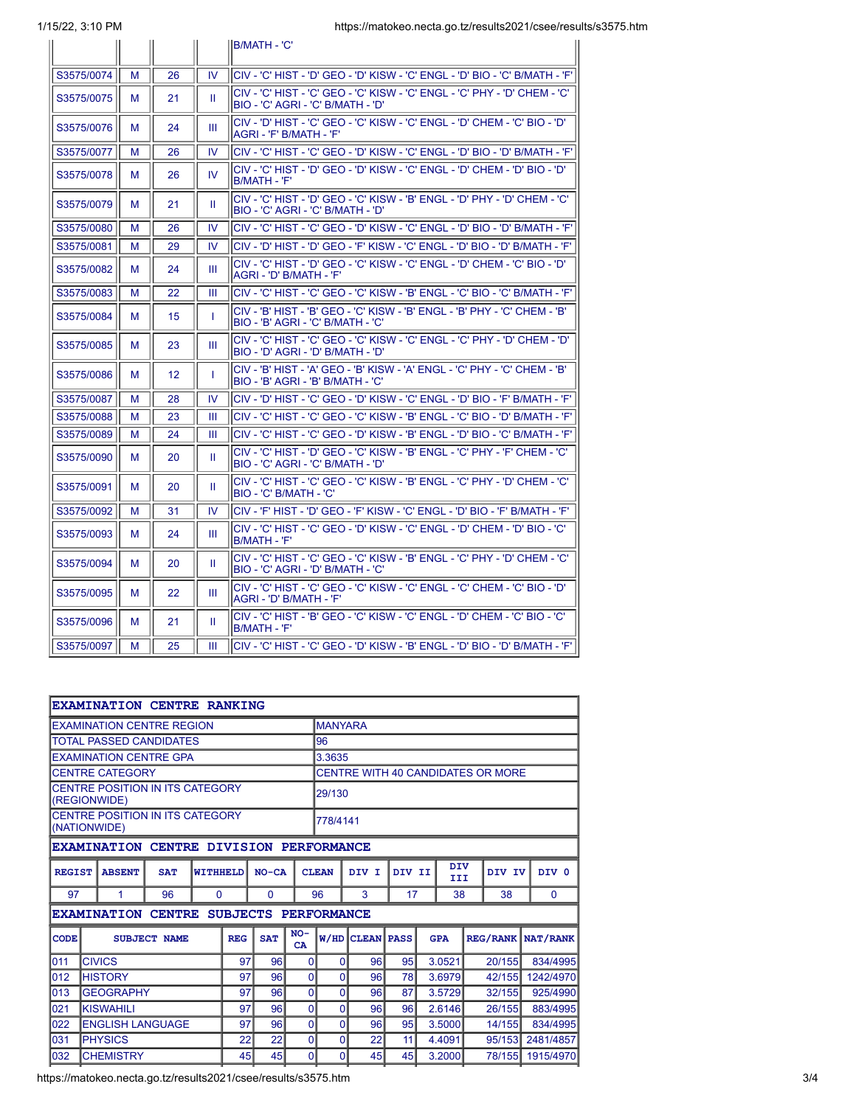|            |   |    |           | <b>IB/MATH - 'C'</b>                                                                                                 |
|------------|---|----|-----------|----------------------------------------------------------------------------------------------------------------------|
| S3575/0074 | м | 26 | IV.       | ICIV - 'C' HIST - 'D' GEO - 'D' KISW - 'C' ENGL - 'D' BIO - 'C' B/MATH - 'F'                                         |
| S3575/0075 | м | 21 | Ш.        | ICIV - 'C' HIST - 'C' GEO - 'C' KISW - 'C' ENGL - 'C' PHY - 'D' CHEM - 'C'<br>BIO - 'C' AGRI - 'C' B/MATH - 'D'      |
| S3575/0076 | м | 24 | Ш         | 'ס' - HIST - 'C' GEO - 'C' KISW - 'C' ENGL - 'D' CHEM - 'C' BIO - 'D'<br>AGRI - 'F' B/MATH - 'F'                     |
| S3575/0077 | M | 26 | IV.       | lCIV - 'С' HIST - 'С' GEO - 'D' KISW - 'С' ENGL - 'D' ВІО - 'D' В/МАТН - 'F'                                         |
| S3575/0078 | м | 26 | <b>IV</b> | 'CIV - 'C' HIST - 'D' GEO - 'D' KISW - 'C' ENGL - 'D' CHEM - 'D' BIO - 'D<br>IB/MATH - 'F'                           |
| S3575/0079 | м | 21 | H.        | 'CIV - 'C' HIST - 'D' GEO - 'C' KISW - 'B' ENGL - 'D' PHY - 'D' CHEM - 'C<br>BIO - 'C' AGRI - 'C' B/MATH - 'D'       |
| S3575/0080 | M | 26 | IV        | 'CIV - 'C' HIST - 'C' GEO - 'D' KISW - 'C' ENGL - 'D' BIO - 'D' B/MATH - 'F                                          |
| S3575/0081 | м | 29 | <b>IV</b> | CIV - 'D' HIST - 'D' GEO - 'F' KISW - 'C' ENGL - 'D' BIO - 'D' В/МАТН - 'F'                                          |
| S3575/0082 | м | 24 | Ш         | 'CIV - 'C' HIST - 'D' GEO - 'C' KISW - 'C' ENGL - 'D' CHEM - 'C' BIO - 'D<br> AGRI - 'D' B/MATH - 'F'                |
| S3575/0083 | М | 22 | Ш         | lCIV - 'C' HIST - 'C' GEO - 'C' KISW - 'B' ENGL - 'C' BIO - 'C' B/MATH - 'F'                                         |
| S3575/0084 | м | 15 | T         | lCIV - 'B' HIST - 'B' GEO - 'C' KISW - 'B' ENGL - 'B' PHY - 'C' CHEM - 'B'<br>BIO - 'B' AGRI - 'C' B/MATH - 'C'      |
| S3575/0085 | м | 23 | Ш         | 'CIV - 'C' HIST - 'C' GEO - 'C' KISW - 'C' ENGL - 'C' PHY - 'D' CHEM - 'D<br>'ס' - BIO - 'ס' AGRI - 'ס' B/MATH - 'ס' |
| S3575/0086 | м | 12 | T         | CIV - 'B' HIST - 'A' GEO - 'B' KISW - 'A' ENGL - 'C' PHY - 'C' CHEM - 'B'<br>BIO - 'B' AGRI - 'B' B/MATH - 'C'       |
| S3575/0087 | м | 28 | IV.       | ICIV - 'D' HIST - 'C' GEO - 'D' KISW - 'C' ENGL - 'D' BIO - 'F' B/MATH - 'F'                                         |
| S3575/0088 | м | 23 | Ш         | ICIV - 'C' HIST - 'C' GEO - 'C' KISW - 'B' ENGL - 'C' BIO - 'D' B/MATH - 'F'                                         |
| S3575/0089 | M | 24 | Ш         | CIV - 'С' HIST - 'С' GEO - 'D' KISW - 'B' ENGL - 'D' BIO - 'С' В/МАТН - 'F'                                          |
| S3575/0090 | м | 20 | Ш         | ICIV - 'C' HIST - 'D' GEO - 'C' KISW - 'B' ENGL - 'C' PHY - 'F' CHEM - 'C'<br>'D' - 'C' AGRI - 'C' B/MATH - 'D       |
| S3575/0091 | м | 20 | Ш         | 'CIV - 'C' HIST - 'C' GEO - 'C' KISW - 'B' ENGL - 'C' PHY - 'D' CHEM - 'C<br>IBIO - 'C' B/MATH - 'C'                 |
| S3575/0092 | м | 31 | IV        | ICIV - 'F' HIST - 'D' GEO - 'F' KISW - 'C' ENGL - 'D' BIO - 'F' B/MATH - 'F'                                         |
| S3575/0093 | м | 24 | Ш         | ICIV - 'C' HIST - 'C' GEO - 'D' KISW - 'C' ENGL - 'D' CHEM - 'D' BIO - 'C'<br>B/MATH - 'F'                           |
| S3575/0094 | м | 20 | Ш         | 'CIV - 'C' HIST - 'C' GEO - 'C' KISW - 'B' ENGL - 'C' PHY - 'D' CHEM - 'C<br>IBIO - 'C' AGRI - 'D' B/MATH - 'C'      |
| S3575/0095 | м | 22 | Ш         | 'CIV - 'C' HIST - 'C' GEO - 'C' KISW - 'C' ENGL - 'C' CHEM - 'C' BIO - 'D<br>AGRI - 'D' B/MATH - 'F'                 |
| S3575/0096 | м | 21 | Ш         | CIV - 'С' HIST - 'В' GEO - 'С' KISW - 'С' ENGL - 'D' СНЕМ - 'С' ВІО - 'С'<br>B/MATH - 'F'                            |
| S3575/0097 | м | 25 | Ш         | lCIV - 'С' HIST - 'С' GEO - 'D' KISW - 'B' ENGL - 'D' BIO - 'D' В/МАТН - 'F'                                         |

|                                    |                                                                 |                         | <b>EXAMINATION CENTRE RANKING</b>       |    |                |                      |                                   |              |                   |    |                             |          |                 |           |
|------------------------------------|-----------------------------------------------------------------|-------------------------|-----------------------------------------|----|----------------|----------------------|-----------------------------------|--------------|-------------------|----|-----------------------------|----------|-----------------|-----------|
|                                    |                                                                 |                         | <b>EXAMINATION CENTRE REGION</b>        |    |                |                      | <b>MANYARA</b>                    |              |                   |    |                             |          |                 |           |
|                                    |                                                                 |                         | <b>TOTAL PASSED CANDIDATES</b>          |    |                |                      | 96                                |              |                   |    |                             |          |                 |           |
|                                    |                                                                 |                         | <b>EXAMINATION CENTRE GPA</b>           |    |                |                      | 3.3635                            |              |                   |    |                             |          |                 |           |
|                                    | <b>CENTRE CATEGORY</b>                                          |                         |                                         |    |                |                      | CENTRE WITH 40 CANDIDATES OR MORE |              |                   |    |                             |          |                 |           |
|                                    | (REGIONWIDE)                                                    |                         | CENTRE POSITION IN ITS CATEGORY         |    |                |                      | 29/130                            |              |                   |    |                             |          |                 |           |
|                                    | (NATIONWIDE)                                                    |                         | <b>CENTRE POSITION IN ITS CATEGORY</b>  |    |                |                      | 778/4141                          |              |                   |    |                             |          |                 |           |
|                                    |                                                                 |                         | EXAMINATION CENTRE DIVISION PERFORMANCE |    |                |                      |                                   |              |                   |    |                             |          |                 |           |
|                                    | <b>REGIST</b><br><b>ABSENT</b><br><b>SAT</b><br><b>WITHHELD</b> |                         |                                         |    |                | $NO-CA$              |                                   | <b>CLEAN</b> | DIV I             |    | <b>DIV</b><br>DIV II<br>III | DIV IV   |                 | DIV 0     |
| 97                                 | 1                                                               |                         | 96                                      | 0  |                | 0                    |                                   | 96<br>3      |                   | 17 | 38                          |          | 38              | $\Omega$  |
|                                    |                                                                 |                         | <b>EXAMINATION CENTRE</b>               |    |                | SUBJECTS PERFORMANCE |                                   |              |                   |    |                             |          |                 |           |
| <b>CODE</b><br><b>SUBJECT NAME</b> |                                                                 |                         |                                         |    | <b>REG</b>     | <b>SAT</b>           | $NO-$<br><b>CA</b>                | W/HD         | <b>CLEAN PASS</b> |    | <b>GPA</b>                  |          | <b>REG/RANK</b> | NAT/RANK  |
| 011                                | <b>CIVICS</b>                                                   |                         |                                         |    | 97             | 96                   | $\Omega$                          | $\Omega$     | 96                | 95 | 3.0521                      |          | 20/155          | 834/4995  |
| 012                                | <b>HISTORY</b>                                                  |                         |                                         |    | 97             | 96                   | $\Omega$                          | 0            | 96                | 78 | 3.6979                      |          | 42/155          | 1242/4970 |
| 013                                | <b>GEOGRAPHY</b>                                                |                         |                                         |    | 97             | 96                   | $\overline{0}$                    | 0            | 96                | 87 | 3.5729                      |          | 32/155          | 925/4990  |
| 021                                | <b>KISWAHILI</b>                                                |                         |                                         |    | 97             | 96                   | $\Omega$                          | 0            | 96                | 96 | 2.6146                      |          | 26/155          | 883/4995  |
| 022                                |                                                                 | <b>ENGLISH LANGUAGE</b> | 97                                      | 96 | $\overline{0}$ | 0                    | 96                                | 95           | 3.5000            |    | 14/155                      | 834/4995 |                 |           |
| 031                                | <b>PHYSICS</b>                                                  |                         |                                         |    | 22             | 22                   | $\Omega$                          | 0            | 22                | 11 | 4.4091                      |          | 95/153          | 2481/4857 |
| 032                                | <b>CHEMISTRY</b>                                                |                         |                                         |    | 45             | 45                   | $\Omega$                          | 0            | 45                | 45 | 3.2000                      |          | 78/155          | 1915/4970 |
|                                    |                                                                 |                         |                                         |    |                |                      |                                   |              |                   |    |                             |          |                 |           |

https://matokeo.necta.go.tz/results2021/csee/results/s3575.htm 3/4